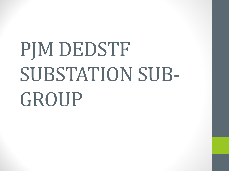# PJM DEDSTF SUBSTATION SUB-GROUP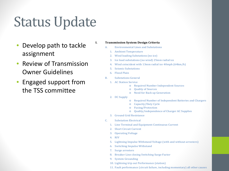- Develop path to tackle assignment
- Review of Transmission Owner Guidelines
- Engaged support from the TSS committee

#### **I. Transmission System Design Criteria**

- A. Environmental Lines and Substations
	- 1. Ambient Temperature
	- 2. Wind loading Substations (no ice)
	- 3. Ice load substations (no wind) 25mm radial ice
	- 4. Wind coincident with 13mm radial ice 40mph (64km/h)
	- 5. Seismic Substations
	- 6. Flood Plain
- B. Substations General
	- 1. AC Station Service
		- o Required Number Independent Sources
		- o Quality of Sources
		- o Need for Back up Generation
	- 2. DC Supply
- o Required Number of Independent Batteries and Chargers
- Capacity/Duty Cycle
- o Fusing/Protection
- o Quality/independence of Charger AC Supplies
- 3. Ground Grid Resistance
- C. Substation Electrical
	- 1. Line Terminal and Equipment Continuous Current
	- 2. Short Circuit Current
	- 3. Operating Voltage
	- 4. RIV
	- 5. Lightning Impulse Withstand Voltage (with and without arresters)
	- 6. Switching Impulse Withstand
	- 7. Surge arresters
	- 8. Breaker Line closing Switching Surge Factor
	- 9. System Grounding
	- 10. Lightning trip out Performance (station)
	- 11. Fault performance (circuit failure, including momentary) all other causes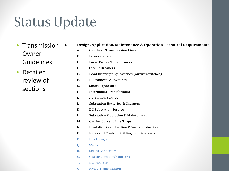• Transmission Owner Guidelines

• Detailed review of sections

| I. |             | Design, Application, Maintenance & Operation Technical Requirements |
|----|-------------|---------------------------------------------------------------------|
|    | A.          | <b>Overhead Transmission Lines</b>                                  |
|    | <b>B.</b>   | <b>Power Cables</b>                                                 |
|    | C.          | Large Power Transformers                                            |
|    | D.          | <b>Circuit Breakers</b>                                             |
|    | E.          | Load Interrupting Switches (Circuit Switches)                       |
|    | F.          | Disconnects & Switches                                              |
|    | G.          | <b>Shunt Capacitors</b>                                             |
|    | H.          | <b>Instrument Transformers</b>                                      |
|    | I.          | <b>AC Station Service</b>                                           |
|    | J.          | <b>Substation Batteries &amp; Chargers</b>                          |
|    | K.          | <b>DC Substation Service</b>                                        |
|    | L.          | <b>Substation Operation &amp; Maintenance</b>                       |
|    | M.          | <b>Carrier Current Line Traps</b>                                   |
|    | N.          | <b>Insulation Coordination &amp; Surge Protection</b>               |
|    | O.          | Relay and Control Building Requirements                             |
|    | P.          | <b>Bus Design</b>                                                   |
|    | Q.          | SVC's                                                               |
|    | $R_{\cdot}$ | <b>Series Capacitors</b>                                            |
|    | S.          | <b>Gas Insulated Substations</b>                                    |
|    | T.          | <b>DC</b> Inverters                                                 |
|    |             |                                                                     |

U. HVDC Transmission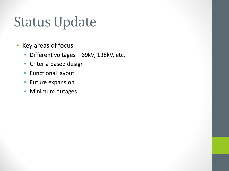- Key areas of focus
	- Different voltages 69kV, 138kV, etc.
	- Criteria based design
	- Functional layout
	- Future expansion
	- Minimum outages